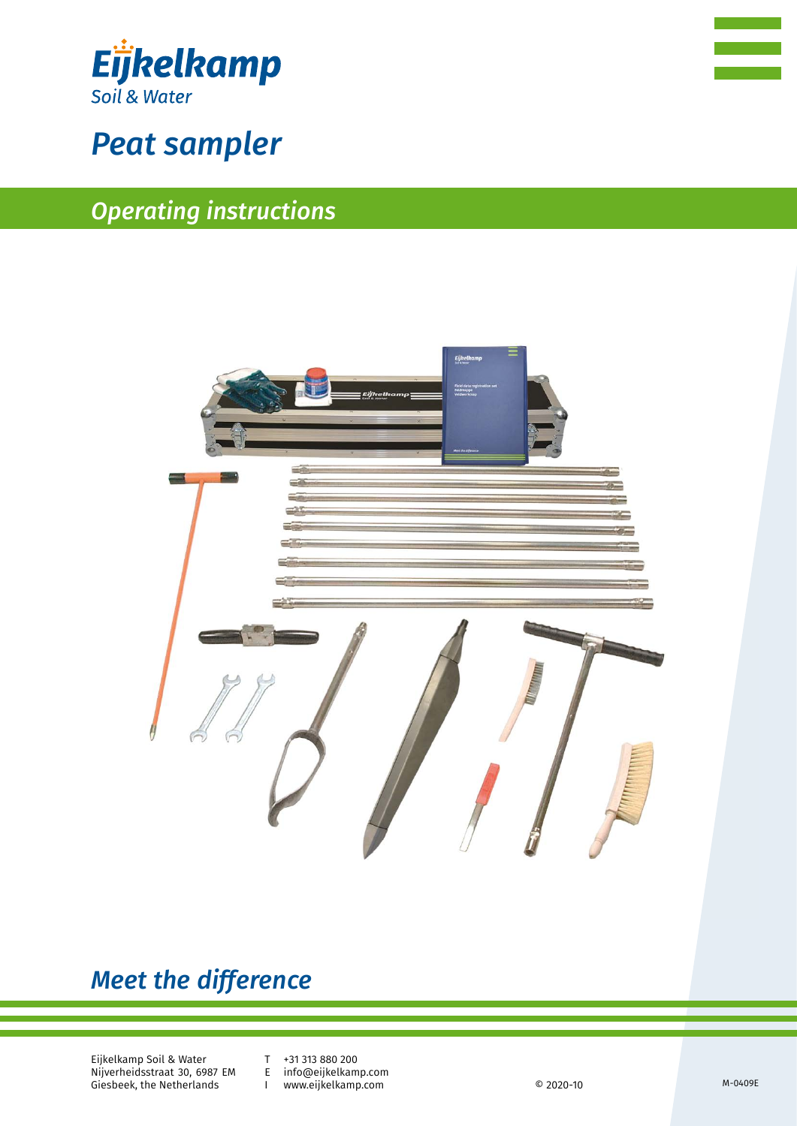



# *Peat sampler*

# *Operating instructions*



# *Meet the difference*

Eijkelkamp Soil & Water Nijverheidsstraat 30, 6987 EM Giesbeek, the Netherlands

T +31 313 880 200<br>E info@eijkelkam

E info@eijkelkamp.com

www.eijkelkamp.com © 2020-10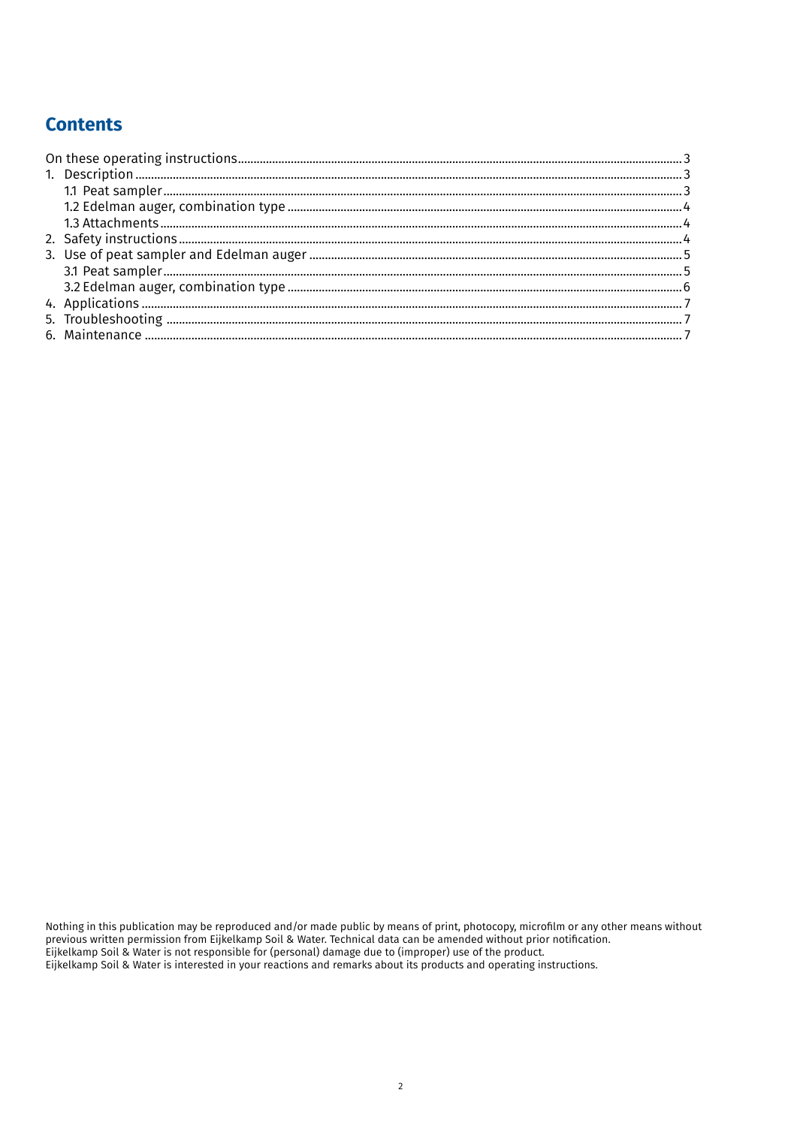# **Contents**

Nothing in this publication may be reproduced and/or made public by means of print, photocopy, microfilm or any other means without<br>previous written permission from Eijkelkamp Soil & Water. Technical data can be amended wi Eijkelkamp Soil & Water is interested in your reactions and remarks about its products and operating instructions.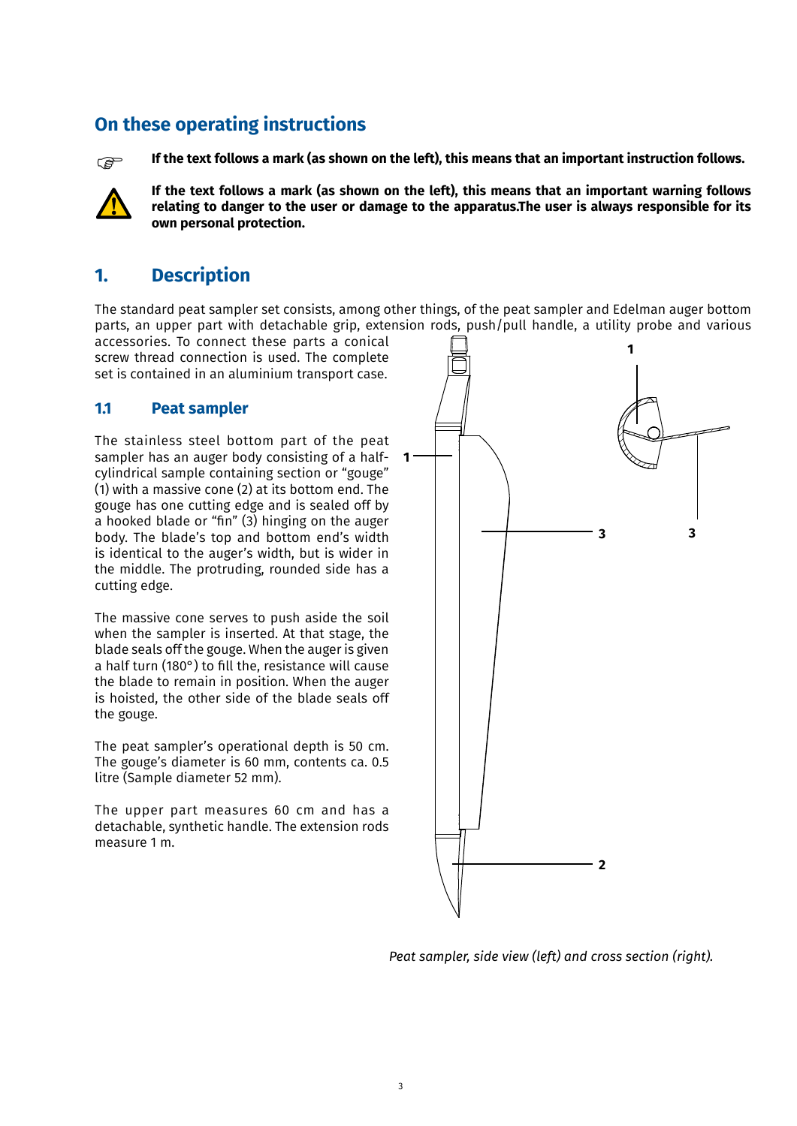### **On these operating instructions**



**If the text follows a mark (as shown on the left), this means that an important instruction follows.**



**If the text follows a mark (as shown on the left), this means that an important warning follows relating to danger to the user or damage to the apparatus.The user is always responsible for its own personal protection.**

## **1. Description**

The standard peat sampler set consists, among other things, of the peat sampler and Edelman auger bottom parts, an upper part with detachable grip, extension rods, push/pull handle, a utility probe and various

accessories. To connect these parts a conical screw thread connection is used. The complete set is contained in an aluminium transport case.

#### **1.1 Peat sampler**

The stainless steel bottom part of the peat sampler has an auger body consisting of a halfcylindrical sample containing section or "gouge" (1) with a massive cone (2) at its bottom end. The gouge has one cutting edge and is sealed off by a hooked blade or "fin" (3) hinging on the auger body. The blade's top and bottom end's width is identical to the auger's width, but is wider in the middle. The protruding, rounded side has a cutting edge.

The massive cone serves to push aside the soil when the sampler is inserted. At that stage, the blade seals off the gouge. When the auger is given a half turn (180°) to fill the, resistance will cause the blade to remain in position. When the auger is hoisted, the other side of the blade seals off the gouge.

The peat sampler's operational depth is 50 cm. The gouge's diameter is 60 mm, contents ca. 0.5 litre (Sample diameter 52 mm).

The upper part measures 60 cm and has a detachable, synthetic handle. The extension rods measure 1 m.



*Peat sampler, side view (left) and cross section (right).*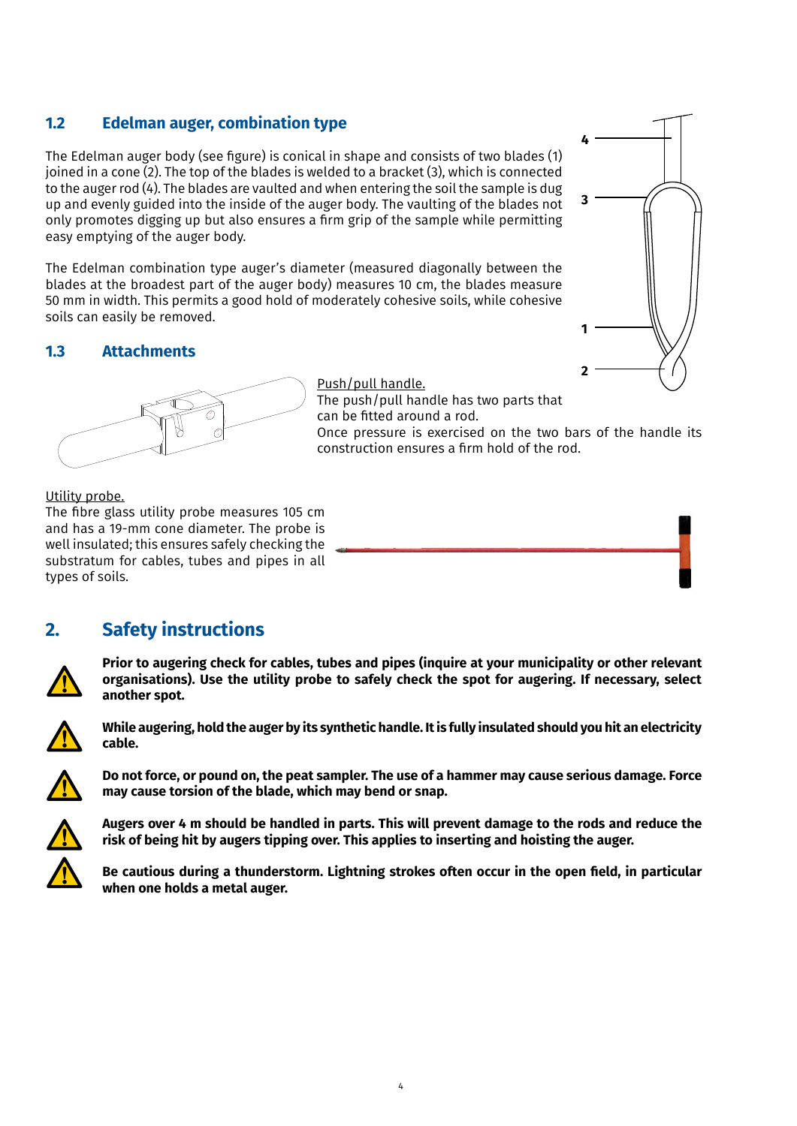#### **1.2 Edelman auger, combination type**

The Edelman auger body (see figure) is conical in shape and consists of two blades (1) joined in a cone (2). The top of the blades is welded to a bracket (3), which is connected to the auger rod (4). The blades are vaulted and when entering the soil the sample is dug up and evenly guided into the inside of the auger body. The vaulting of the blades not only promotes digging up but also ensures a firm grip of the sample while permitting easy emptying of the auger body.

The Edelman combination type auger's diameter (measured diagonally between the blades at the broadest part of the auger body) measures 10 cm, the blades measure 50 mm in width. This permits a good hold of moderately cohesive soils, while cohesive soils can easily be removed.

#### **1.3 Attachments**



Push/pull handle. The push/pull handle has two parts that can be fitted around a rod.

Once pressure is exercised on the two bars of the handle its construction ensures a firm hold of the rod.

#### Utility probe.

The fibre glass utility probe measures 105 cm and has a 19-mm cone diameter. The probe is well insulated; this ensures safely checking the substratum for cables, tubes and pipes in all types of soils.

### **2. Safety instructions**



**Prior to augering check for cables, tubes and pipes (inquire at your municipality or other relevant organisations). Use the utility probe to safely check the spot for augering. If necessary, select another spot.** 



**While augering, hold the auger by its synthetic handle. It is fully insulated should you hit an electricity cable.**



**Do not force, or pound on, the peat sampler. The use of a hammer may cause serious damage. Force may cause torsion of the blade, which may bend or snap.**



**Augers over 4 m should be handled in parts. This will prevent damage to the rods and reduce the risk of being hit by augers tipping over. This applies to inserting and hoisting the auger.**

**Be cautious during a thunderstorm. Lightning strokes often occur in the open field, in particular when one holds a metal auger.**

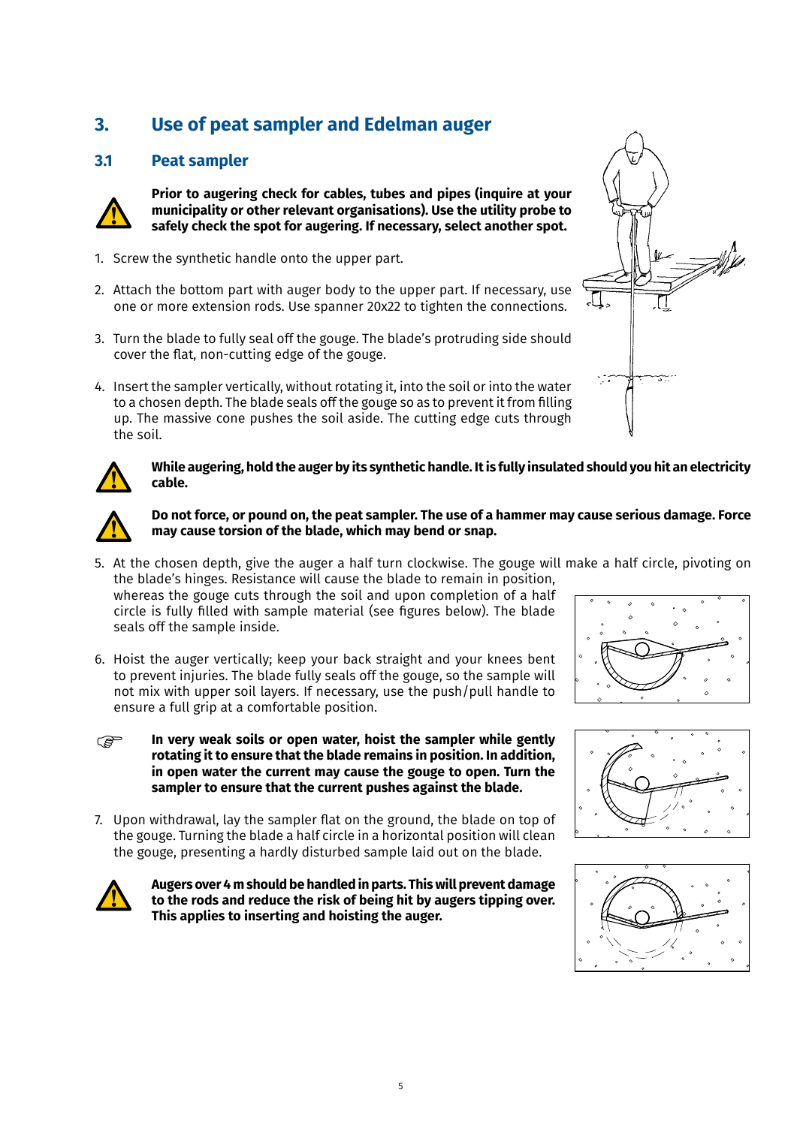# **3. Use of peat sampler and Edelman auger**

#### **3.1 Peat sampler**



**Prior to augering check for cables, tubes and pipes (inquire at your municipality or other relevant organisations). Use the utility probe to safely check the spot for augering. If necessary, select another spot.** 

- 1. Screw the synthetic handle onto the upper part.
- 2. Attach the bottom part with auger body to the upper part. If necessary, use one or more extension rods. Use spanner 20x22 to tighten the connections.
- 3. Turn the blade to fully seal off the gouge. The blade's protruding side should cover the flat, non-cutting edge of the gouge.
- 4. Insert the sampler vertically, without rotating it, into the soil or into the water to a chosen depth. The blade seals off the gouge so as to prevent it from filling up. The massive cone pushes the soil aside. The cutting edge cuts through the soil.





#### **While augering, hold the auger by its synthetic handle. It is fully insulated should you hit an electricity cable.**



#### **Do not force, or pound on, the peat sampler. The use of a hammer may cause serious damage. Force may cause torsion of the blade, which may bend or snap.**

5. At the chosen depth, give the auger a half turn clockwise. The gouge will make a half circle, pivoting on the blade's hinges. Resistance will cause the blade to remain in position,

whereas the gouge cuts through the soil and upon completion of a half circle is fully filled with sample material (see figures below). The blade seals off the sample inside.

- 6. Hoist the auger vertically; keep your back straight and your knees bent to prevent injuries. The blade fully seals off the gouge, so the sample will not mix with upper soil layers. If necessary, use the push/pull handle to ensure a full grip at a comfortable position.
- **In very weak soils or open water, hoist the sampler while gently rotating it to ensure that the blade remains in position. In addition, in open water the current may cause the gouge to open. Turn the sampler to ensure that the current pushes against the blade. P**
- 7. Upon withdrawal, lay the sampler flat on the ground, the blade on top of the gouge. Turning the blade a half circle in a horizontal position will clean the gouge, presenting a hardly disturbed sample laid out on the blade.



**Augers over 4 m should be handled in parts. This will prevent damage to the rods and reduce the risk of being hit by augers tipping over. This applies to inserting and hoisting the auger.**





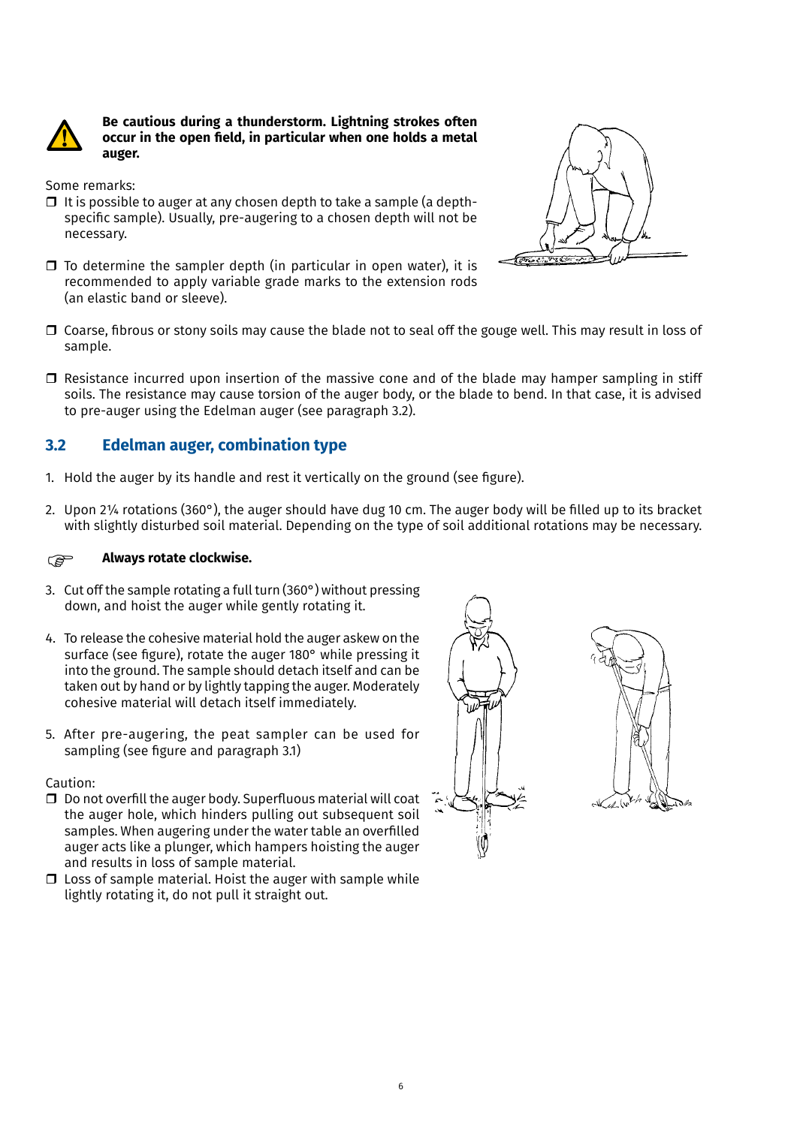

**Be cautious during a thunderstorm. Lightning strokes often occur in the open field, in particular when one holds a metal auger.**

Some remarks:

- $\Box$  It is possible to auger at any chosen depth to take a sample (a depthspecific sample). Usually, pre-augering to a chosen depth will not be necessary.
- $\Box$  To determine the sampler depth (in particular in open water), it is recommended to apply variable grade marks to the extension rods (an elastic band or sleeve).



- $\Box$  Coarse, fibrous or stony soils may cause the blade not to seal off the gouge well. This may result in loss of sample.
- $\Box$  Resistance incurred upon insertion of the massive cone and of the blade may hamper sampling in stiff soils. The resistance may cause torsion of the auger body, or the blade to bend. In that case, it is advised to pre-auger using the Edelman auger (see paragraph 3.2).

#### **3.2 Edelman auger, combination type**

- 1. Hold the auger by its handle and rest it vertically on the ground (see figure).
- 2. Upon 2¼ rotations (360°), the auger should have dug 10 cm. The auger body will be filled up to its bracket with slightly disturbed soil material. Depending on the type of soil additional rotations may be necessary.

#### **Always rotate clockwise. P**

- 3. Cut off the sample rotating a full turn (360°) without pressing down, and hoist the auger while gently rotating it.
- 4. To release the cohesive material hold the auger askew on the surface (see figure), rotate the auger 180° while pressing it into the ground. The sample should detach itself and can be taken out by hand or by lightly tapping the auger. Moderately cohesive material will detach itself immediately.
- 5. After pre-augering, the peat sampler can be used for sampling (see figure and paragraph 3.1)

Caution:

- $\square$  Do not overfill the auger body. Superfluous material will coat the auger hole, which hinders pulling out subsequent soil samples. When augering under the water table an overfilled auger acts like a plunger, which hampers hoisting the auger and results in loss of sample material.
- $\square$  Loss of sample material. Hoist the auger with sample while lightly rotating it, do not pull it straight out.